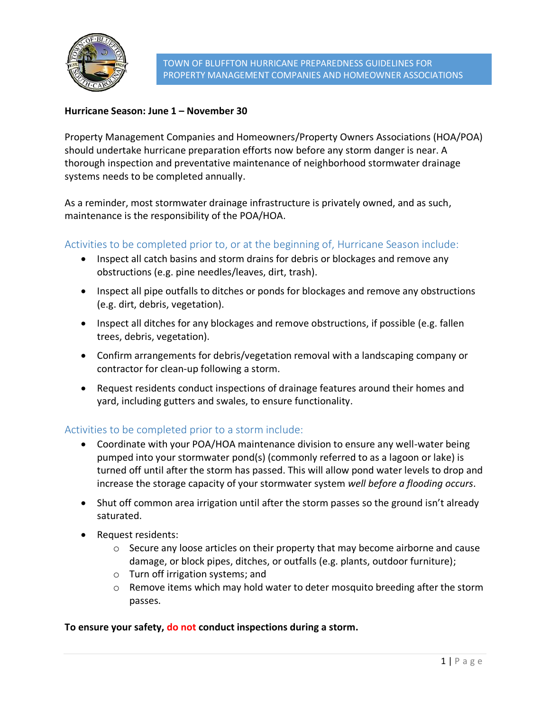

## **Hurricane Season: June 1 – November 30**

Property Management Companies and Homeowners/Property Owners Associations (HOA/POA) should undertake hurricane preparation efforts now before any storm danger is near. A thorough inspection and preventative maintenance of neighborhood stormwater drainage systems needs to be completed annually.

As a reminder, most stormwater drainage infrastructure is privately owned, and as such, maintenance is the responsibility of the POA/HOA.

## Activities to be completed prior to, or at the beginning of, Hurricane Season include:

- Inspect all catch basins and storm drains for debris or blockages and remove any obstructions (e.g. pine needles/leaves, dirt, trash).
- Inspect all pipe outfalls to ditches or ponds for blockages and remove any obstructions (e.g. dirt, debris, vegetation).
- Inspect all ditches for any blockages and remove obstructions, if possible (e.g. fallen trees, debris, vegetation).
- Confirm arrangements for debris/vegetation removal with a landscaping company or contractor for clean-up following a storm.
- Request residents conduct inspections of drainage features around their homes and yard, including gutters and swales, to ensure functionality.

## Activities to be completed prior to a storm include:

- Coordinate with your POA/HOA maintenance division to ensure any well-water being pumped into your stormwater pond(s) (commonly referred to as a lagoon or lake) is turned off until after the storm has passed. This will allow pond water levels to drop and increase the storage capacity of your stormwater system *well before a flooding occurs*.
- Shut off common area irrigation until after the storm passes so the ground isn't already saturated.
- Request residents:
	- o Secure any loose articles on their property that may become airborne and cause damage, or block pipes, ditches, or outfalls (e.g. plants, outdoor furniture);
	- o Turn off irrigation systems; and
	- o Remove items which may hold water to deter mosquito breeding after the storm passes.

#### **To ensure your safety, do not conduct inspections during a storm.**